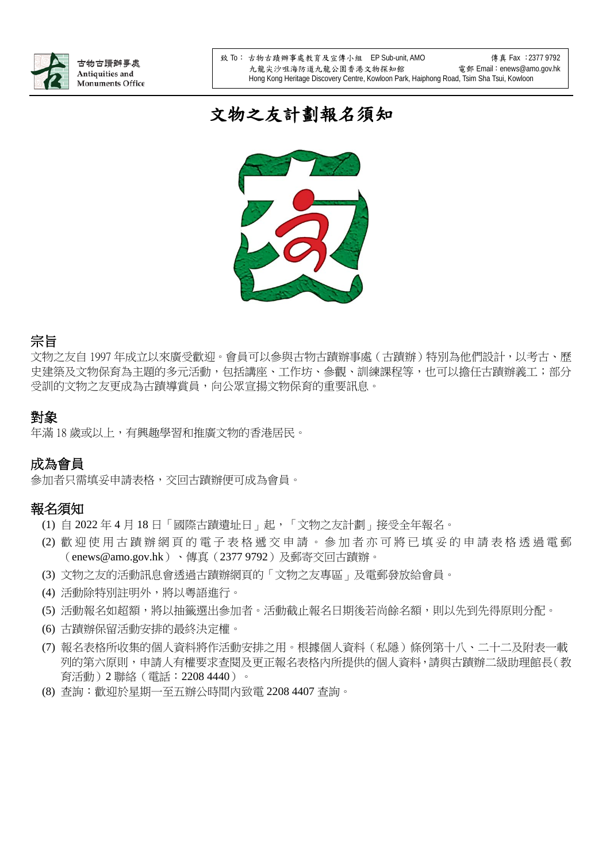

# 文物之友計劃報名須知



### 宗旨

文物之友自 1997 年成立以來廣受歡迎。會員可以參與古物古蹟辦事處(古蹟辦)特別為他們設計,以考古、歷 史建築及文物保育為主題的多元活動,包括講座、工作坊、參觀、訓練課程等,也可以擔任古蹟辦義工;部分 受訓的文物之友更成為古蹟導賞員,向公眾宣揚文物保育的重要訊息。

## 對象

年滿 18 歲或以上,有興趣學習和推廣文物的香港居民。

# 成為會員

參加者只需填妥申請表格,交回古蹟辦便可成為會員。

## 報名須知

- (1) 自 2022 年 4 月 18 日「國際古蹟遺址日」起,「文物之友計劃」接受全年報名。
- (2) 歡迎使用古蹟辦網頁的 電子表格 遞交申 請 。 參加者 亦可將 已 填 妥 的 申 請 表格透過電郵 (enews@amo.gov.hk)、傳真(2377 9792)及郵寄交回古蹟辦。
- (3) 文物之友的活動訊息會透過古蹟辦網頁的「文物之友專區」及電郵發放給會員。
- (4) 活動除特別註明外,將以粵語進行。
- (5) 活動報名如超額,將以抽籤選出參加者。活動截止報名日期後若尚餘名額,則以先到先得原則分配。
- (6) 古蹟辦保留活動安排的最終決定權。
- (7) 報名表格所收集的個人資料將作活動安排之用。根據個人資料(私隱)條例第十八、二十二及附表一載 列的第六原則,申請人有權要求查閱及更正報名表格內所提供的個人資料,請與古蹟辦二級助理館長(教 育活動)2 聯絡(電話:2208 4440)。
- (8) 查詢:歡迎於星期一至五辦公時間內致電 2208 4407 查詢。